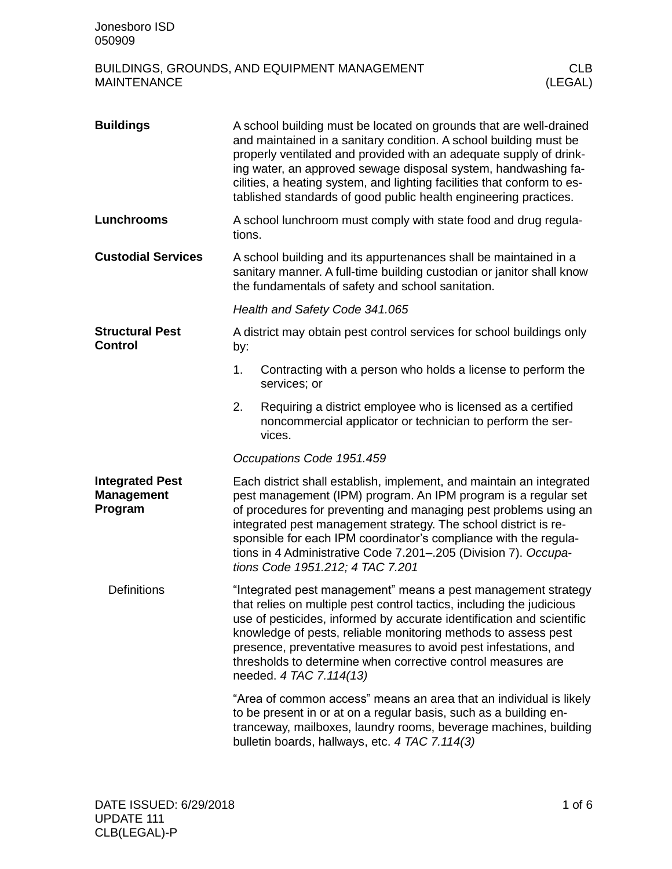| <b>Buildings</b>                                       |                                                                                                                                                                                                                                                                                                                                                                                                                                                          | A school building must be located on grounds that are well-drained<br>and maintained in a sanitary condition. A school building must be<br>properly ventilated and provided with an adequate supply of drink-<br>ing water, an approved sewage disposal system, handwashing fa-<br>cilities, a heating system, and lighting facilities that conform to es-<br>tablished standards of good public health engineering practices. |  |  |
|--------------------------------------------------------|----------------------------------------------------------------------------------------------------------------------------------------------------------------------------------------------------------------------------------------------------------------------------------------------------------------------------------------------------------------------------------------------------------------------------------------------------------|--------------------------------------------------------------------------------------------------------------------------------------------------------------------------------------------------------------------------------------------------------------------------------------------------------------------------------------------------------------------------------------------------------------------------------|--|--|
| Lunchrooms                                             | tions.                                                                                                                                                                                                                                                                                                                                                                                                                                                   | A school lunchroom must comply with state food and drug regula-                                                                                                                                                                                                                                                                                                                                                                |  |  |
| <b>Custodial Services</b>                              | A school building and its appurtenances shall be maintained in a<br>sanitary manner. A full-time building custodian or janitor shall know<br>the fundamentals of safety and school sanitation.                                                                                                                                                                                                                                                           |                                                                                                                                                                                                                                                                                                                                                                                                                                |  |  |
|                                                        | Health and Safety Code 341.065                                                                                                                                                                                                                                                                                                                                                                                                                           |                                                                                                                                                                                                                                                                                                                                                                                                                                |  |  |
| <b>Structural Pest</b><br><b>Control</b>               | by:                                                                                                                                                                                                                                                                                                                                                                                                                                                      | A district may obtain pest control services for school buildings only                                                                                                                                                                                                                                                                                                                                                          |  |  |
|                                                        | 1.                                                                                                                                                                                                                                                                                                                                                                                                                                                       | Contracting with a person who holds a license to perform the<br>services; or                                                                                                                                                                                                                                                                                                                                                   |  |  |
|                                                        | 2.                                                                                                                                                                                                                                                                                                                                                                                                                                                       | Requiring a district employee who is licensed as a certified<br>noncommercial applicator or technician to perform the ser-<br>vices.                                                                                                                                                                                                                                                                                           |  |  |
|                                                        |                                                                                                                                                                                                                                                                                                                                                                                                                                                          | Occupations Code 1951.459                                                                                                                                                                                                                                                                                                                                                                                                      |  |  |
| <b>Integrated Pest</b><br><b>Management</b><br>Program | Each district shall establish, implement, and maintain an integrated<br>pest management (IPM) program. An IPM program is a regular set<br>of procedures for preventing and managing pest problems using an<br>integrated pest management strategy. The school district is re-<br>sponsible for each IPM coordinator's compliance with the regula-<br>tions in 4 Administrative Code 7.201-.205 (Division 7). Occupa-<br>tions Code 1951.212; 4 TAC 7.201 |                                                                                                                                                                                                                                                                                                                                                                                                                                |  |  |
| <b>Definitions</b>                                     | "Integrated pest management" means a pest management strategy<br>that relies on multiple pest control tactics, including the judicious<br>use of pesticides, informed by accurate identification and scientific<br>knowledge of pests, reliable monitoring methods to assess pest<br>presence, preventative measures to avoid pest infestations, and<br>thresholds to determine when corrective control measures are<br>needed. 4 TAC 7.114(13)          |                                                                                                                                                                                                                                                                                                                                                                                                                                |  |  |
|                                                        |                                                                                                                                                                                                                                                                                                                                                                                                                                                          | "Area of common access" means an area that an individual is likely<br>to be present in or at on a regular basis, such as a building en-<br>tranceway, mailboxes, laundry rooms, beverage machines, building<br>bulletin boards, hallways, etc. 4 TAC 7.114(3)                                                                                                                                                                  |  |  |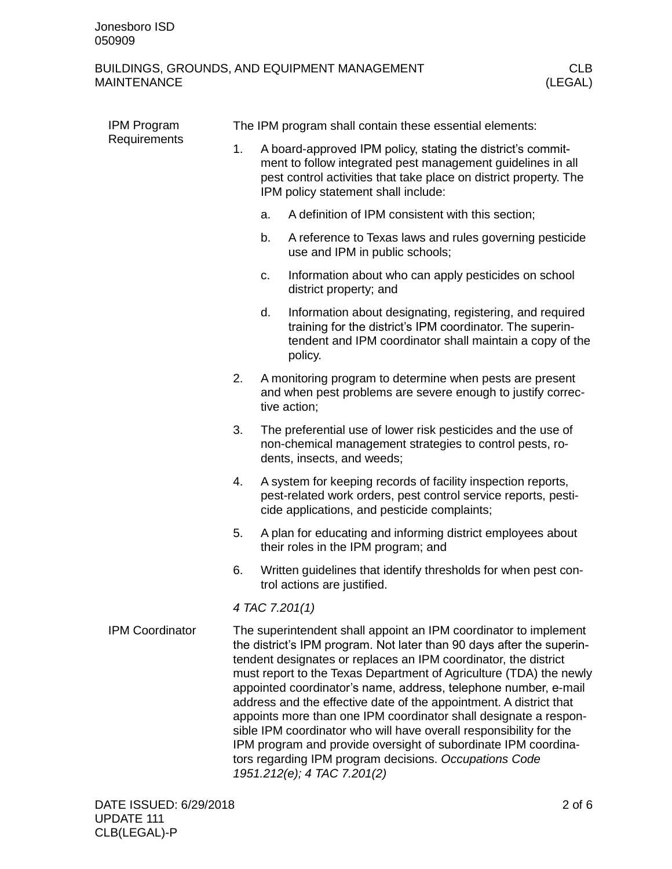| IPM Program<br>Requirements | The IPM program shall contain these essential elements: |    |                                                                                                                                                                                                                                                                                                                                                                                                                                                                                                                                                                                                                                                                                                                                  |  |  |
|-----------------------------|---------------------------------------------------------|----|----------------------------------------------------------------------------------------------------------------------------------------------------------------------------------------------------------------------------------------------------------------------------------------------------------------------------------------------------------------------------------------------------------------------------------------------------------------------------------------------------------------------------------------------------------------------------------------------------------------------------------------------------------------------------------------------------------------------------------|--|--|
|                             | 1.                                                      |    | A board-approved IPM policy, stating the district's commit-<br>ment to follow integrated pest management guidelines in all<br>pest control activities that take place on district property. The<br>IPM policy statement shall include:                                                                                                                                                                                                                                                                                                                                                                                                                                                                                           |  |  |
|                             |                                                         | a. | A definition of IPM consistent with this section;                                                                                                                                                                                                                                                                                                                                                                                                                                                                                                                                                                                                                                                                                |  |  |
|                             |                                                         | b. | A reference to Texas laws and rules governing pesticide<br>use and IPM in public schools;                                                                                                                                                                                                                                                                                                                                                                                                                                                                                                                                                                                                                                        |  |  |
|                             |                                                         | c. | Information about who can apply pesticides on school<br>district property; and                                                                                                                                                                                                                                                                                                                                                                                                                                                                                                                                                                                                                                                   |  |  |
|                             |                                                         | d. | Information about designating, registering, and required<br>training for the district's IPM coordinator. The superin-<br>tendent and IPM coordinator shall maintain a copy of the<br>policy.                                                                                                                                                                                                                                                                                                                                                                                                                                                                                                                                     |  |  |
|                             | 2.                                                      |    | A monitoring program to determine when pests are present<br>and when pest problems are severe enough to justify correc-<br>tive action;                                                                                                                                                                                                                                                                                                                                                                                                                                                                                                                                                                                          |  |  |
|                             | 3.                                                      |    | The preferential use of lower risk pesticides and the use of<br>non-chemical management strategies to control pests, ro-<br>dents, insects, and weeds;                                                                                                                                                                                                                                                                                                                                                                                                                                                                                                                                                                           |  |  |
|                             | 4.                                                      |    | A system for keeping records of facility inspection reports,<br>pest-related work orders, pest control service reports, pesti-<br>cide applications, and pesticide complaints;                                                                                                                                                                                                                                                                                                                                                                                                                                                                                                                                                   |  |  |
|                             | 5.                                                      |    | A plan for educating and informing district employees about<br>their roles in the IPM program; and                                                                                                                                                                                                                                                                                                                                                                                                                                                                                                                                                                                                                               |  |  |
|                             | 6.                                                      |    | Written guidelines that identify thresholds for when pest con-<br>trol actions are justified.                                                                                                                                                                                                                                                                                                                                                                                                                                                                                                                                                                                                                                    |  |  |
|                             | 4 TAC 7.201(1)                                          |    |                                                                                                                                                                                                                                                                                                                                                                                                                                                                                                                                                                                                                                                                                                                                  |  |  |
| <b>IPM Coordinator</b>      |                                                         |    | The superintendent shall appoint an IPM coordinator to implement<br>the district's IPM program. Not later than 90 days after the superin-<br>tendent designates or replaces an IPM coordinator, the district<br>must report to the Texas Department of Agriculture (TDA) the newly<br>appointed coordinator's name, address, telephone number, e-mail<br>address and the effective date of the appointment. A district that<br>appoints more than one IPM coordinator shall designate a respon-<br>sible IPM coordinator who will have overall responsibility for the<br>IPM program and provide oversight of subordinate IPM coordina-<br>tors regarding IPM program decisions. Occupations Code<br>1951.212(e); 4 TAC 7.201(2) |  |  |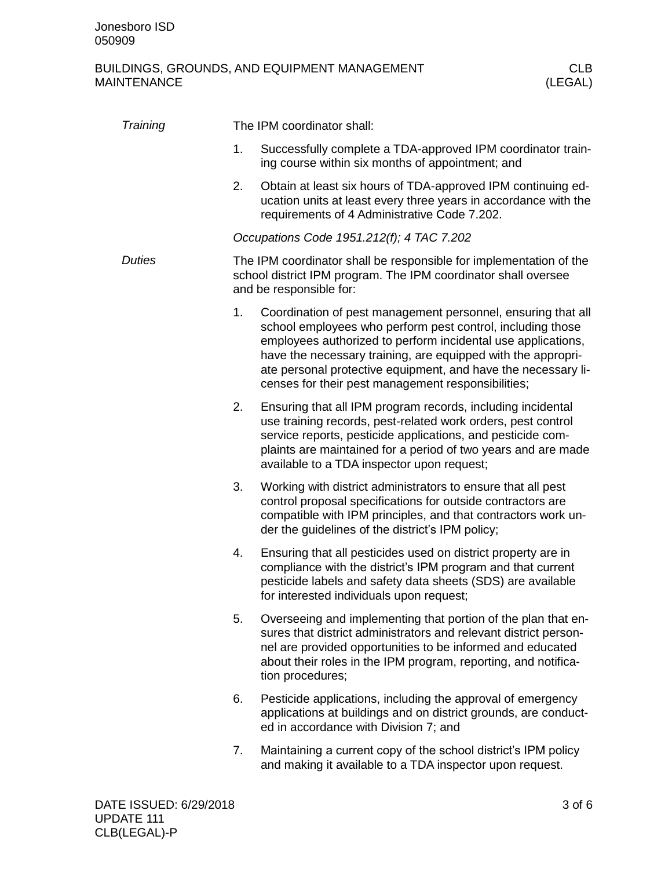| Training      |    | The IPM coordinator shall:                                                                                                                                                                                                                                                                                                                                                        |
|---------------|----|-----------------------------------------------------------------------------------------------------------------------------------------------------------------------------------------------------------------------------------------------------------------------------------------------------------------------------------------------------------------------------------|
|               | 1. | Successfully complete a TDA-approved IPM coordinator train-<br>ing course within six months of appointment; and                                                                                                                                                                                                                                                                   |
|               | 2. | Obtain at least six hours of TDA-approved IPM continuing ed-<br>ucation units at least every three years in accordance with the<br>requirements of 4 Administrative Code 7.202.                                                                                                                                                                                                   |
|               |    | Occupations Code 1951.212(f); 4 TAC 7.202                                                                                                                                                                                                                                                                                                                                         |
| <b>Duties</b> |    | The IPM coordinator shall be responsible for implementation of the<br>school district IPM program. The IPM coordinator shall oversee<br>and be responsible for:                                                                                                                                                                                                                   |
|               | 1. | Coordination of pest management personnel, ensuring that all<br>school employees who perform pest control, including those<br>employees authorized to perform incidental use applications,<br>have the necessary training, are equipped with the appropri-<br>ate personal protective equipment, and have the necessary li-<br>censes for their pest management responsibilities; |
|               | 2. | Ensuring that all IPM program records, including incidental<br>use training records, pest-related work orders, pest control<br>service reports, pesticide applications, and pesticide com-<br>plaints are maintained for a period of two years and are made<br>available to a TDA inspector upon request;                                                                         |
|               | 3. | Working with district administrators to ensure that all pest<br>control proposal specifications for outside contractors are<br>compatible with IPM principles, and that contractors work un-<br>der the guidelines of the district's IPM policy;                                                                                                                                  |
|               | 4. | Ensuring that all pesticides used on district property are in<br>compliance with the district's IPM program and that current<br>pesticide labels and safety data sheets (SDS) are available<br>for interested individuals upon request;                                                                                                                                           |
|               | 5. | Overseeing and implementing that portion of the plan that en-<br>sures that district administrators and relevant district person-<br>nel are provided opportunities to be informed and educated<br>about their roles in the IPM program, reporting, and notifica-<br>tion procedures;                                                                                             |
|               | 6. | Pesticide applications, including the approval of emergency<br>applications at buildings and on district grounds, are conduct-<br>ed in accordance with Division 7; and                                                                                                                                                                                                           |
|               | 7. | Maintaining a current copy of the school district's IPM policy<br>and making it available to a TDA inspector upon request.                                                                                                                                                                                                                                                        |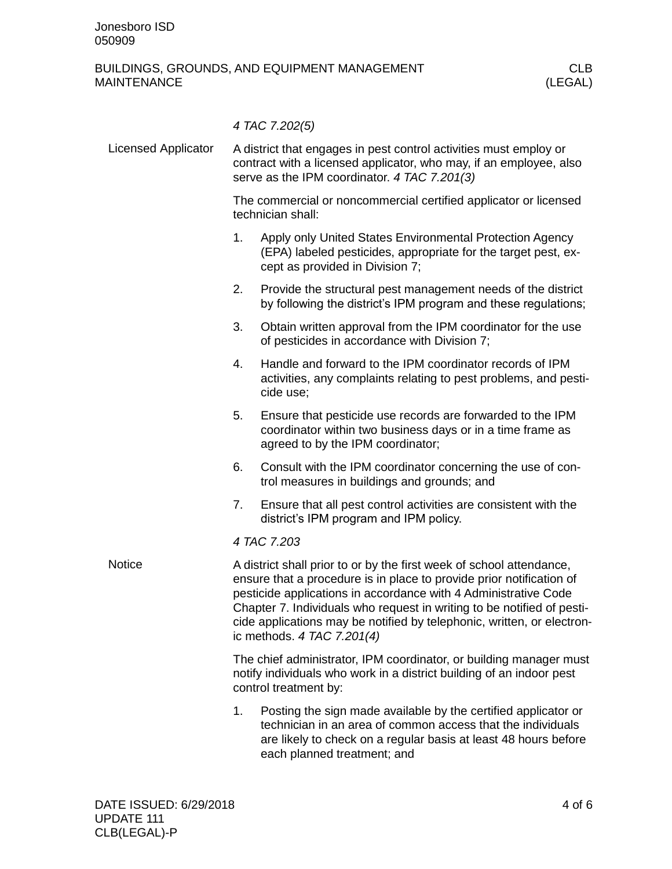|                            |                                                                                                                                                                                                                                                                                                                                                                                                     | 4 TAC 7.202(5)                                                                                                                                                                                                                  |  |  |  |
|----------------------------|-----------------------------------------------------------------------------------------------------------------------------------------------------------------------------------------------------------------------------------------------------------------------------------------------------------------------------------------------------------------------------------------------------|---------------------------------------------------------------------------------------------------------------------------------------------------------------------------------------------------------------------------------|--|--|--|
| <b>Licensed Applicator</b> | A district that engages in pest control activities must employ or<br>contract with a licensed applicator, who may, if an employee, also<br>serve as the IPM coordinator. 4 TAC 7.201(3)                                                                                                                                                                                                             |                                                                                                                                                                                                                                 |  |  |  |
|                            |                                                                                                                                                                                                                                                                                                                                                                                                     | The commercial or noncommercial certified applicator or licensed<br>technician shall:                                                                                                                                           |  |  |  |
|                            | 1.                                                                                                                                                                                                                                                                                                                                                                                                  | Apply only United States Environmental Protection Agency<br>(EPA) labeled pesticides, appropriate for the target pest, ex-<br>cept as provided in Division 7;                                                                   |  |  |  |
|                            | 2.                                                                                                                                                                                                                                                                                                                                                                                                  | Provide the structural pest management needs of the district<br>by following the district's IPM program and these regulations;                                                                                                  |  |  |  |
|                            | 3.                                                                                                                                                                                                                                                                                                                                                                                                  | Obtain written approval from the IPM coordinator for the use<br>of pesticides in accordance with Division 7;                                                                                                                    |  |  |  |
|                            | 4.                                                                                                                                                                                                                                                                                                                                                                                                  | Handle and forward to the IPM coordinator records of IPM<br>activities, any complaints relating to pest problems, and pesti-<br>cide use;                                                                                       |  |  |  |
|                            | 5.                                                                                                                                                                                                                                                                                                                                                                                                  | Ensure that pesticide use records are forwarded to the IPM<br>coordinator within two business days or in a time frame as<br>agreed to by the IPM coordinator;                                                                   |  |  |  |
|                            | 6.                                                                                                                                                                                                                                                                                                                                                                                                  | Consult with the IPM coordinator concerning the use of con-<br>trol measures in buildings and grounds; and                                                                                                                      |  |  |  |
|                            | 7.                                                                                                                                                                                                                                                                                                                                                                                                  | Ensure that all pest control activities are consistent with the<br>district's IPM program and IPM policy.                                                                                                                       |  |  |  |
|                            | 4 TAC 7.203                                                                                                                                                                                                                                                                                                                                                                                         |                                                                                                                                                                                                                                 |  |  |  |
| <b>Notice</b>              | A district shall prior to or by the first week of school attendance,<br>ensure that a procedure is in place to provide prior notification of<br>pesticide applications in accordance with 4 Administrative Code<br>Chapter 7. Individuals who request in writing to be notified of pesti-<br>cide applications may be notified by telephonic, written, or electron-<br>ic methods. $4$ TAC 7.201(4) |                                                                                                                                                                                                                                 |  |  |  |
|                            | The chief administrator, IPM coordinator, or building manager must<br>notify individuals who work in a district building of an indoor pest<br>control treatment by:                                                                                                                                                                                                                                 |                                                                                                                                                                                                                                 |  |  |  |
|                            | 1.                                                                                                                                                                                                                                                                                                                                                                                                  | Posting the sign made available by the certified applicator or<br>technician in an area of common access that the individuals<br>are likely to check on a regular basis at least 48 hours before<br>each planned treatment; and |  |  |  |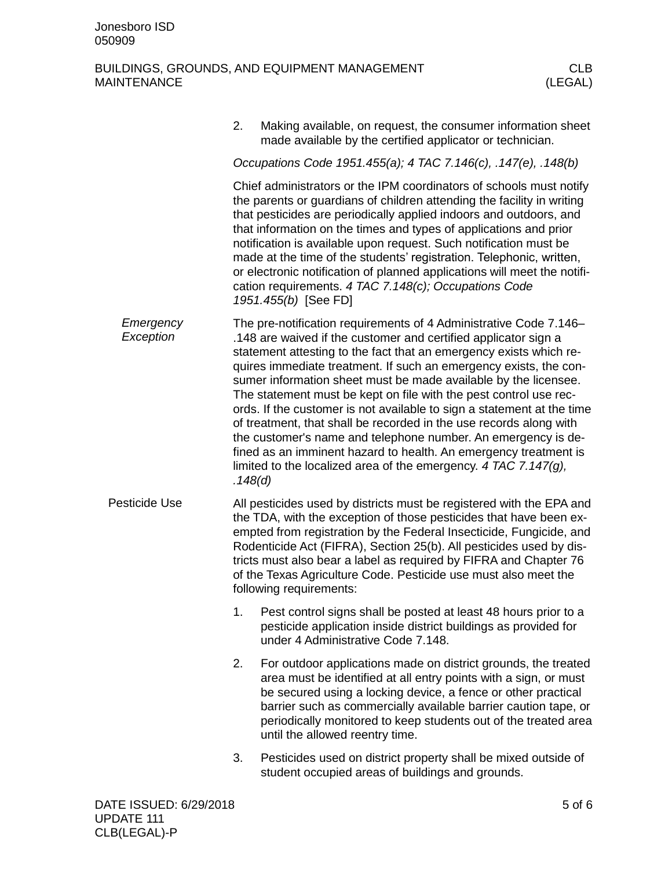|                        | 2.                                                                                                                                                                                                                                                                                                                                                                                                                                                                                                                                                                                                 | Making available, on request, the consumer information sheet<br>made available by the certified applicator or technician.                                                                                                                                                                                                                                                                                                                                                                                                                                                                                                                                                                                                                                                           |  |  |  |  |  |
|------------------------|----------------------------------------------------------------------------------------------------------------------------------------------------------------------------------------------------------------------------------------------------------------------------------------------------------------------------------------------------------------------------------------------------------------------------------------------------------------------------------------------------------------------------------------------------------------------------------------------------|-------------------------------------------------------------------------------------------------------------------------------------------------------------------------------------------------------------------------------------------------------------------------------------------------------------------------------------------------------------------------------------------------------------------------------------------------------------------------------------------------------------------------------------------------------------------------------------------------------------------------------------------------------------------------------------------------------------------------------------------------------------------------------------|--|--|--|--|--|
|                        |                                                                                                                                                                                                                                                                                                                                                                                                                                                                                                                                                                                                    | Occupations Code 1951.455(a); 4 TAC 7.146(c), .147(e), .148(b)                                                                                                                                                                                                                                                                                                                                                                                                                                                                                                                                                                                                                                                                                                                      |  |  |  |  |  |
|                        | Chief administrators or the IPM coordinators of schools must notify<br>the parents or guardians of children attending the facility in writing<br>that pesticides are periodically applied indoors and outdoors, and<br>that information on the times and types of applications and prior<br>notification is available upon request. Such notification must be<br>made at the time of the students' registration. Telephonic, written,<br>or electronic notification of planned applications will meet the notifi-<br>cation requirements. 4 TAC 7.148(c); Occupations Code<br>1951.455(b) [See FD] |                                                                                                                                                                                                                                                                                                                                                                                                                                                                                                                                                                                                                                                                                                                                                                                     |  |  |  |  |  |
| Emergency<br>Exception | .148(d)                                                                                                                                                                                                                                                                                                                                                                                                                                                                                                                                                                                            | The pre-notification requirements of 4 Administrative Code 7.146–<br>.148 are waived if the customer and certified applicator sign a<br>statement attesting to the fact that an emergency exists which re-<br>quires immediate treatment. If such an emergency exists, the con-<br>sumer information sheet must be made available by the licensee.<br>The statement must be kept on file with the pest control use rec-<br>ords. If the customer is not available to sign a statement at the time<br>of treatment, that shall be recorded in the use records along with<br>the customer's name and telephone number. An emergency is de-<br>fined as an imminent hazard to health. An emergency treatment is<br>limited to the localized area of the emergency. 4 TAC 7.147 $(q)$ , |  |  |  |  |  |
| Pesticide Use          |                                                                                                                                                                                                                                                                                                                                                                                                                                                                                                                                                                                                    | All pesticides used by districts must be registered with the EPA and<br>the TDA, with the exception of those pesticides that have been ex-<br>empted from registration by the Federal Insecticide, Fungicide, and<br>Rodenticide Act (FIFRA), Section 25(b). All pesticides used by dis-<br>tricts must also bear a label as required by FIFRA and Chapter 76<br>of the Texas Agriculture Code. Pesticide use must also meet the<br>following requirements:                                                                                                                                                                                                                                                                                                                         |  |  |  |  |  |
|                        | 1.                                                                                                                                                                                                                                                                                                                                                                                                                                                                                                                                                                                                 | Pest control signs shall be posted at least 48 hours prior to a<br>pesticide application inside district buildings as provided for<br>under 4 Administrative Code 7.148.                                                                                                                                                                                                                                                                                                                                                                                                                                                                                                                                                                                                            |  |  |  |  |  |
|                        | 2.                                                                                                                                                                                                                                                                                                                                                                                                                                                                                                                                                                                                 | For outdoor applications made on district grounds, the treated<br>area must be identified at all entry points with a sign, or must<br>be secured using a locking device, a fence or other practical<br>barrier such as commercially available barrier caution tape, or<br>periodically monitored to keep students out of the treated area<br>until the allowed reentry time.                                                                                                                                                                                                                                                                                                                                                                                                        |  |  |  |  |  |
|                        | 3.                                                                                                                                                                                                                                                                                                                                                                                                                                                                                                                                                                                                 | Pesticides used on district property shall be mixed outside of<br>student occupied areas of buildings and grounds.                                                                                                                                                                                                                                                                                                                                                                                                                                                                                                                                                                                                                                                                  |  |  |  |  |  |
|                        |                                                                                                                                                                                                                                                                                                                                                                                                                                                                                                                                                                                                    |                                                                                                                                                                                                                                                                                                                                                                                                                                                                                                                                                                                                                                                                                                                                                                                     |  |  |  |  |  |